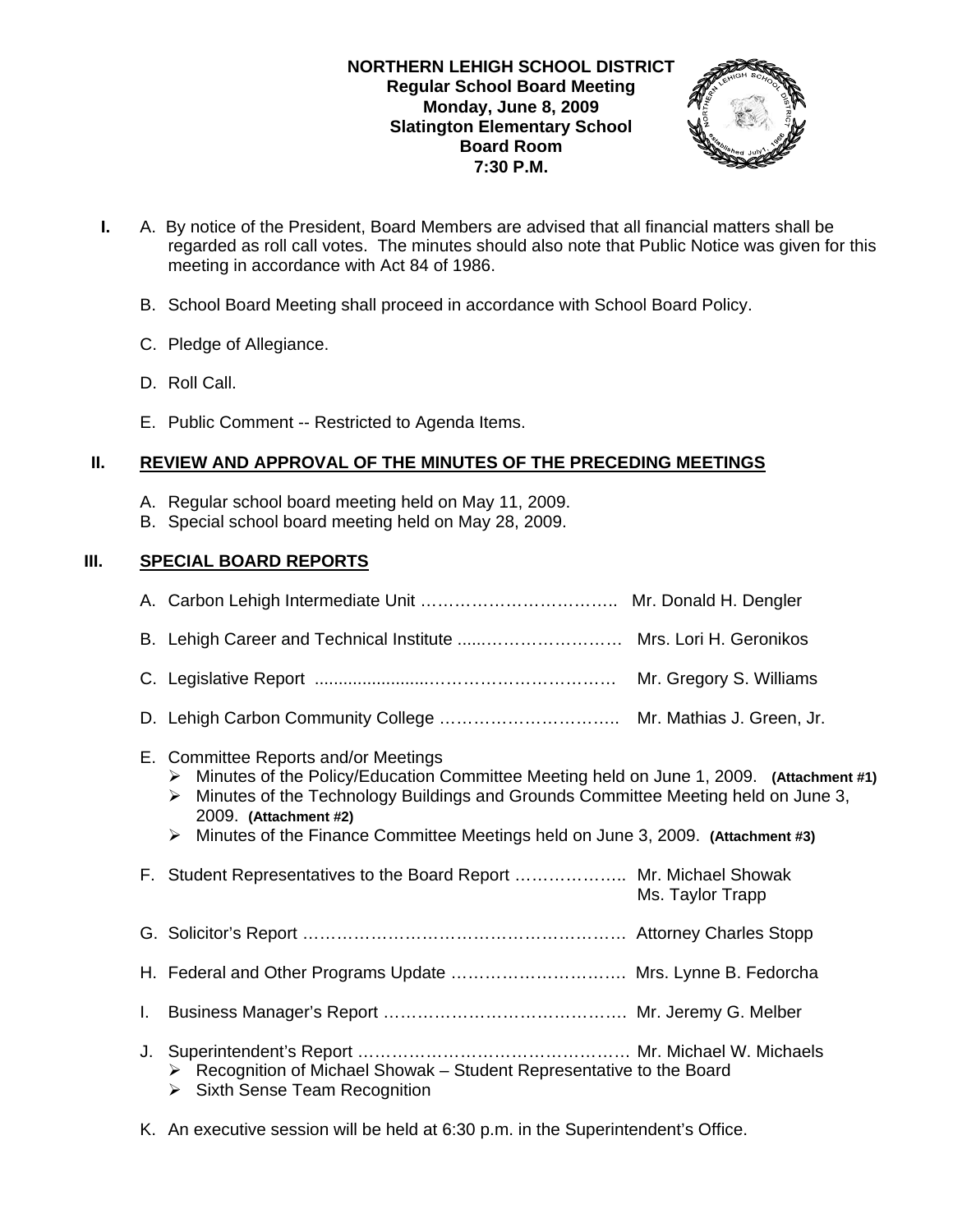

- **I.** A. By notice of the President, Board Members are advised that all financial matters shall be regarded as roll call votes. The minutes should also note that Public Notice was given for this meeting in accordance with Act 84 of 1986.
	- B. School Board Meeting shall proceed in accordance with School Board Policy.
	- C. Pledge of Allegiance.
	- D. Roll Call.
	- E. Public Comment -- Restricted to Agenda Items.

## **II. REVIEW AND APPROVAL OF THE MINUTES OF THE PRECEDING MEETINGS**

- A. Regular school board meeting held on May 11, 2009.
- B. Special school board meeting held on May 28, 2009.

# **III. SPECIAL BOARD REPORTS**

|    | E. Committee Reports and/or Meetings<br>Minutes of the Policy/Education Committee Meeting held on June 1, 2009. (Attachment #1)<br>➤<br>Minutes of the Technology Buildings and Grounds Committee Meeting held on June 3,<br>➤<br>2009. (Attachment #2)<br>Minutes of the Finance Committee Meetings held on June 3, 2009. (Attachment #3)<br>➤ |                  |
|----|-------------------------------------------------------------------------------------------------------------------------------------------------------------------------------------------------------------------------------------------------------------------------------------------------------------------------------------------------|------------------|
|    | F. Student Representatives to the Board Report  Mr. Michael Showak                                                                                                                                                                                                                                                                              | Ms. Taylor Trapp |
|    |                                                                                                                                                                                                                                                                                                                                                 |                  |
|    | H. Federal and Other Programs Update  Mrs. Lynne B. Fedorcha                                                                                                                                                                                                                                                                                    |                  |
| L. |                                                                                                                                                                                                                                                                                                                                                 |                  |
| J. | $\triangleright$ Recognition of Michael Showak – Student Representative to the Board<br><b>Sixth Sense Team Recognition</b><br>➤                                                                                                                                                                                                                |                  |

K. An executive session will be held at 6:30 p.m. in the Superintendent's Office.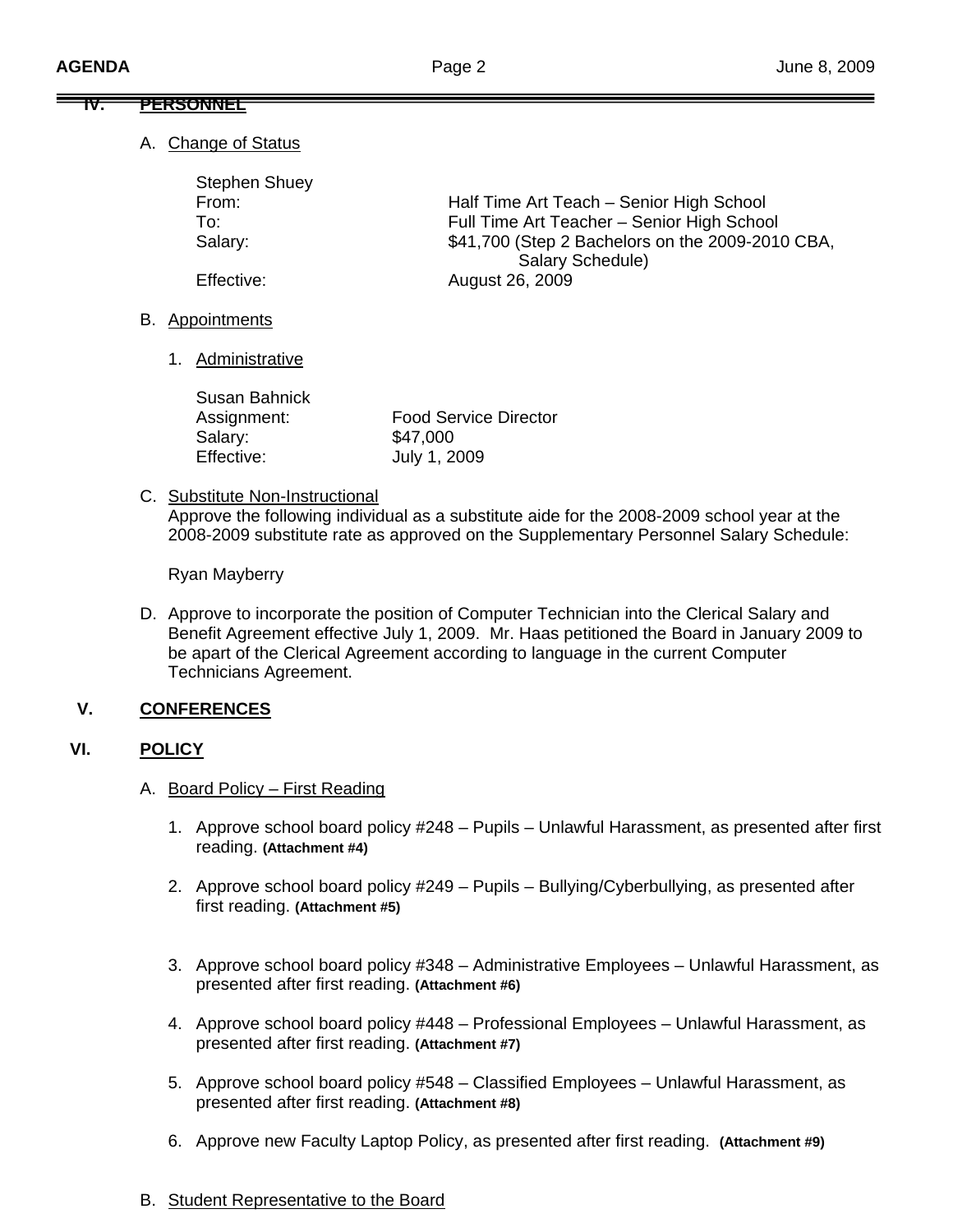## **IV. PERSONNEL**

A. Change of Status

| <b>Stephen Shuey</b> |                                                  |
|----------------------|--------------------------------------------------|
| From:                | Half Time Art Teach - Senior High School         |
| To:                  | Full Time Art Teacher - Senior High School       |
| Salary:              | \$41,700 (Step 2 Bachelors on the 2009-2010 CBA, |
|                      | Salary Schedule)                                 |
| Effective:           | August 26, 2009                                  |

- B. Appointments
	- 1. Administrative

| Susan Bahnick |                              |
|---------------|------------------------------|
| Assignment:   | <b>Food Service Director</b> |
| Salary:       | \$47,000                     |
| Effective:    | July 1, 2009                 |

C. Substitute Non-Instructional

Approve the following individual as a substitute aide for the 2008-2009 school year at the 2008-2009 substitute rate as approved on the Supplementary Personnel Salary Schedule:

Ryan Mayberry

D. Approve to incorporate the position of Computer Technician into the Clerical Salary and Benefit Agreement effective July 1, 2009. Mr. Haas petitioned the Board in January 2009 to be apart of the Clerical Agreement according to language in the current Computer Technicians Agreement.

# **V. CONFERENCES**

# **VI. POLICY**

- A. Board Policy First Reading
	- 1. Approve school board policy #248 Pupils Unlawful Harassment, as presented after first reading. **(Attachment #4)**
	- 2. Approve school board policy #249 Pupils Bullying/Cyberbullying, as presented after first reading. **(Attachment #5)**
	- 3. Approve school board policy #348 Administrative Employees Unlawful Harassment, as presented after first reading. **(Attachment #6)**
	- 4. Approve school board policy #448 Professional Employees Unlawful Harassment, as presented after first reading. **(Attachment #7)**
	- 5. Approve school board policy #548 Classified Employees Unlawful Harassment, as presented after first reading. **(Attachment #8)**
	- 6. Approve new Faculty Laptop Policy, as presented after first reading. **(Attachment #9)**
- B. Student Representative to the Board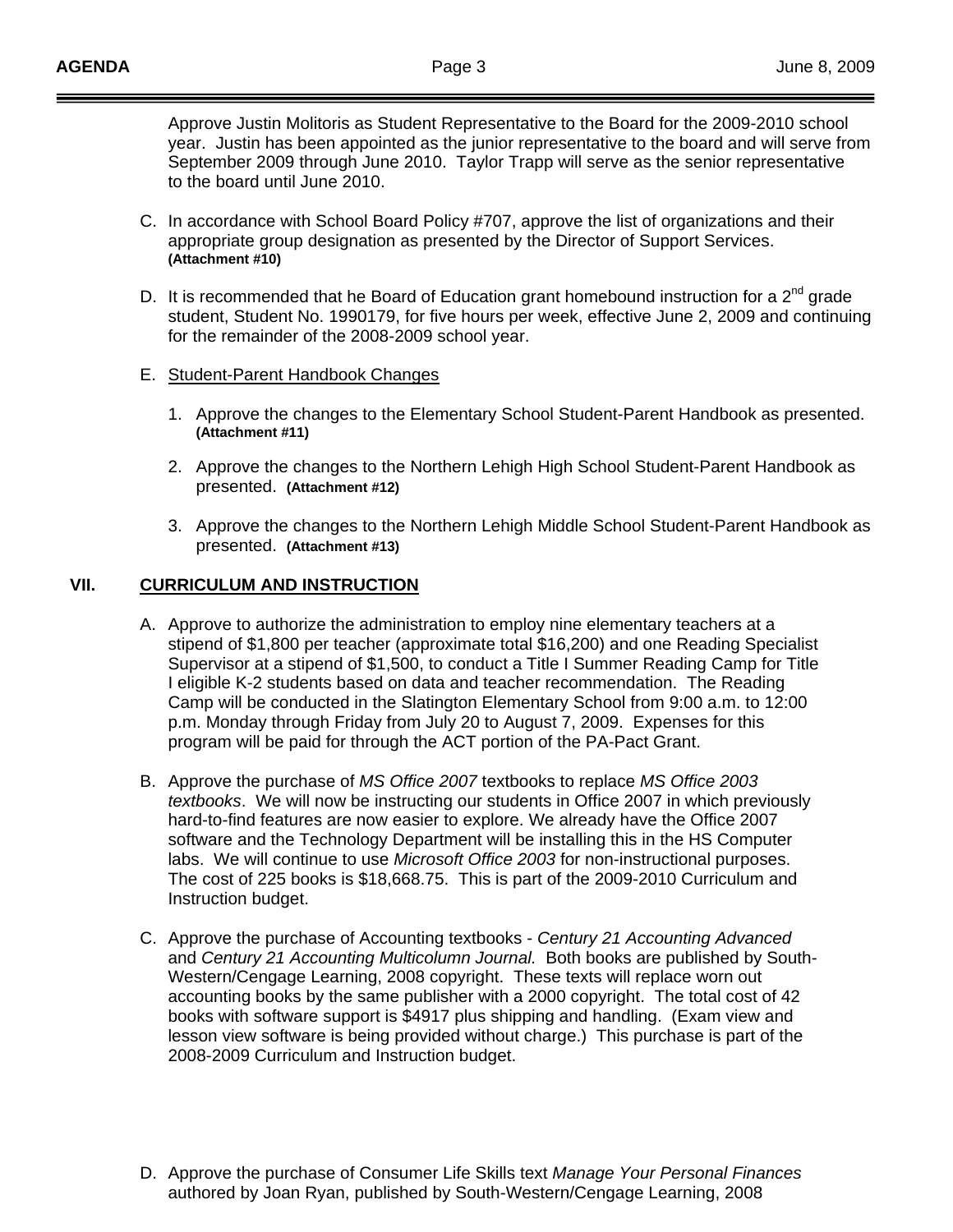Approve Justin Molitoris as Student Representative to the Board for the 2009-2010 school year. Justin has been appointed as the junior representative to the board and will serve from September 2009 through June 2010. Taylor Trapp will serve as the senior representative to the board until June 2010.

- C. In accordance with School Board Policy #707, approve the list of organizations and their appropriate group designation as presented by the Director of Support Services.  **(Attachment #10)**
- D. It is recommended that he Board of Education grant homebound instruction for a  $2<sup>nd</sup>$  grade student, Student No. 1990179, for five hours per week, effective June 2, 2009 and continuing for the remainder of the 2008-2009 school year.

## E. Student-Parent Handbook Changes

- 1. Approve the changes to the Elementary School Student-Parent Handbook as presented.  **(Attachment #11)**
- 2. Approve the changes to the Northern Lehigh High School Student-Parent Handbook as presented. **(Attachment #12)**
- 3. Approve the changes to the Northern Lehigh Middle School Student-Parent Handbook as presented. **(Attachment #13)**

# **VII. CURRICULUM AND INSTRUCTION**

- A. Approve to authorize the administration to employ nine elementary teachers at a stipend of \$1,800 per teacher (approximate total \$16,200) and one Reading Specialist Supervisor at a stipend of \$1,500, to conduct a Title I Summer Reading Camp for Title I eligible K-2 students based on data and teacher recommendation. The Reading Camp will be conducted in the Slatington Elementary School from 9:00 a.m. to 12:00 p.m. Monday through Friday from July 20 to August 7, 2009. Expenses for this program will be paid for through the ACT portion of the PA-Pact Grant.
- B. Approve the purchase of *MS Office 2007* textbooks to replace *MS Office 2003 textbooks*. We will now be instructing our students in Office 2007 in which previously hard-to-find features are now easier to explore. We already have the Office 2007 software and the Technology Department will be installing this in the HS Computer labs. We will continue to use *Microsoft Office 2003* for non-instructional purposes. The cost of 225 books is \$18,668.75. This is part of the 2009-2010 Curriculum and Instruction budget.
- C. Approve the purchase of Accounting textbooks *Century 21 Accounting Advanced*  and *Century 21 Accounting Multicolumn Journal.* Both books are published by South-Western/Cengage Learning, 2008 copyright. These texts will replace worn out accounting books by the same publisher with a 2000 copyright. The total cost of 42 books with software support is \$4917 plus shipping and handling. (Exam view and lesson view software is being provided without charge.) This purchase is part of the 2008-2009 Curriculum and Instruction budget.
- D. Approve the purchase of Consumer Life Skills text *Manage Your Personal Finances* authored by Joan Ryan, published by South-Western/Cengage Learning, 2008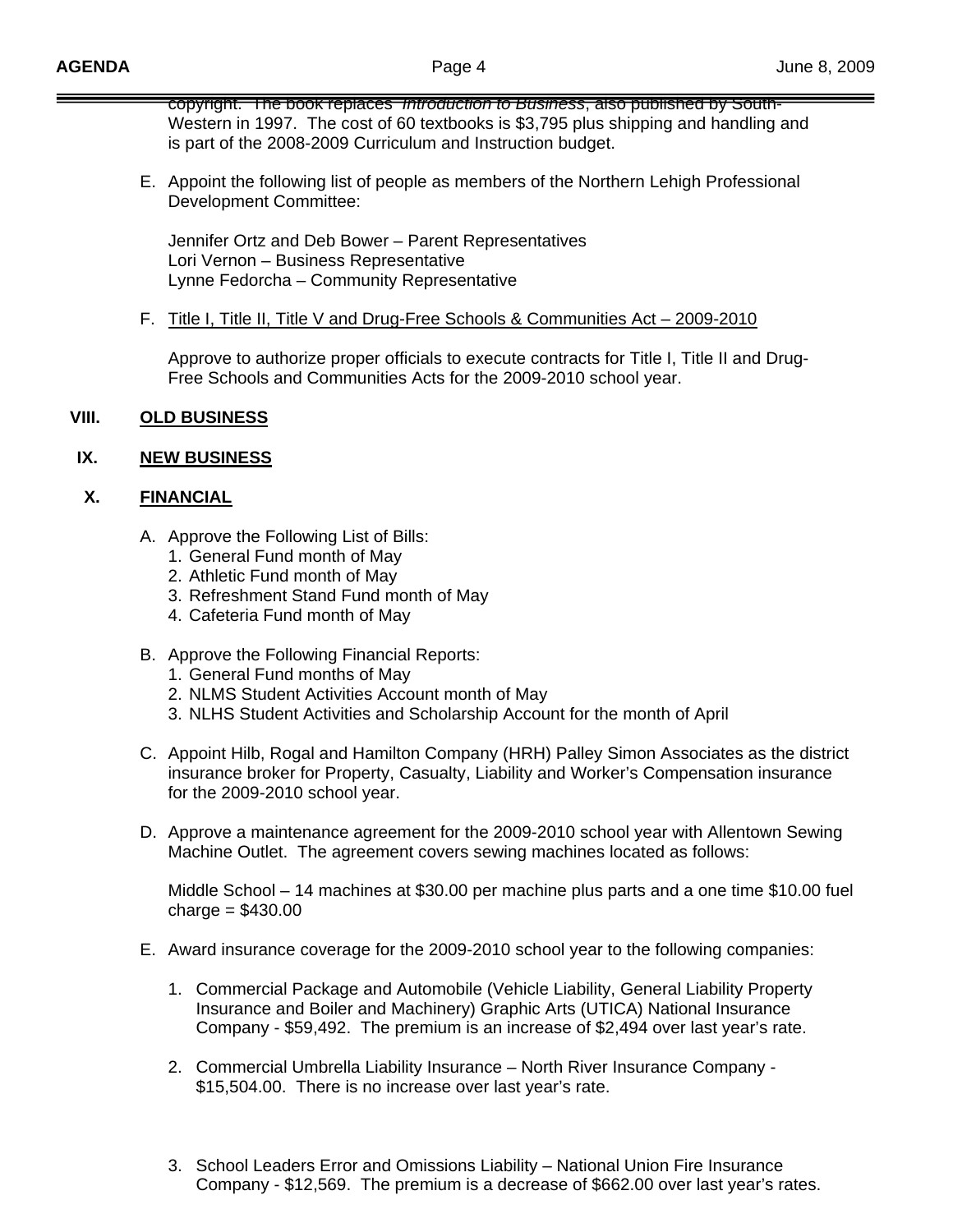copyright. The book replaces *Introduction to Business*, also published by South-Western in 1997. The cost of 60 textbooks is \$3,795 plus shipping and handling and is part of the 2008-2009 Curriculum and Instruction budget.

E. Appoint the following list of people as members of the Northern Lehigh Professional Development Committee:

 Jennifer Ortz and Deb Bower – Parent Representatives Lori Vernon – Business Representative Lynne Fedorcha – Community Representative

## F. Title I, Title II, Title V and Drug-Free Schools & Communities Act – 2009-2010

Approve to authorize proper officials to execute contracts for Title I, Title II and Drug-Free Schools and Communities Acts for the 2009-2010 school year.

# **VIII. OLD BUSINESS**

## **IX. NEW BUSINESS**

# **X. FINANCIAL**

- A. Approve the Following List of Bills:
	- 1. General Fund month of May
	- 2. Athletic Fund month of May
	- 3. Refreshment Stand Fund month of May
	- 4. Cafeteria Fund month of May
- B. Approve the Following Financial Reports:
	- 1. General Fund months of May
	- 2. NLMS Student Activities Account month of May
	- 3. NLHS Student Activities and Scholarship Account for the month of April
- C. Appoint Hilb, Rogal and Hamilton Company (HRH) Palley Simon Associates as the district insurance broker for Property, Casualty, Liability and Worker's Compensation insurance for the 2009-2010 school year.
- D. Approve a maintenance agreement for the 2009-2010 school year with Allentown Sewing Machine Outlet. The agreement covers sewing machines located as follows:

Middle School – 14 machines at \$30.00 per machine plus parts and a one time \$10.00 fuel  $charge = $430.00$ 

- E. Award insurance coverage for the 2009-2010 school year to the following companies:
	- 1. Commercial Package and Automobile (Vehicle Liability, General Liability Property Insurance and Boiler and Machinery) Graphic Arts (UTICA) National Insurance Company - \$59,492. The premium is an increase of \$2,494 over last year's rate.
	- 2. Commercial Umbrella Liability Insurance North River Insurance Company \$15,504.00. There is no increase over last year's rate.
	- 3. School Leaders Error and Omissions Liability National Union Fire Insurance Company - \$12,569. The premium is a decrease of \$662.00 over last year's rates.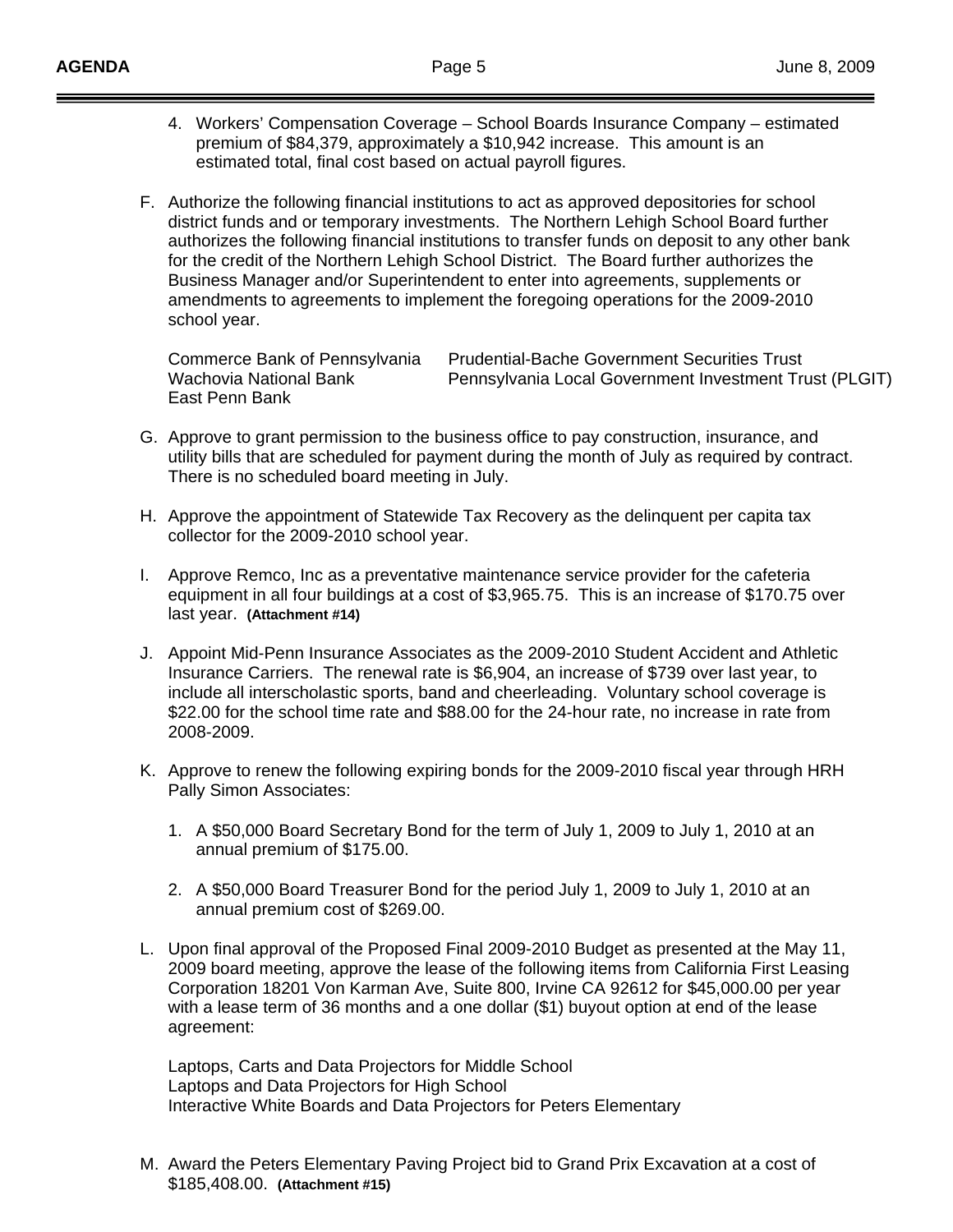- 4. Workers' Compensation Coverage School Boards Insurance Company estimated premium of \$84,379, approximately a \$10,942 increase. This amount is an estimated total, final cost based on actual payroll figures.
- F. Authorize the following financial institutions to act as approved depositories for school district funds and or temporary investments. The Northern Lehigh School Board further authorizes the following financial institutions to transfer funds on deposit to any other bank for the credit of the Northern Lehigh School District. The Board further authorizes the Business Manager and/or Superintendent to enter into agreements, supplements or amendments to agreements to implement the foregoing operations for the 2009-2010 school year.

Commerce Bank of Pennsylvania Prudential-Bache Government Securities Trust Wachovia National Bank **Pennsylvania Local Government Investment Trust (PLGIT)** East Penn Bank

- G. Approve to grant permission to the business office to pay construction, insurance, and utility bills that are scheduled for payment during the month of July as required by contract. There is no scheduled board meeting in July.
- H. Approve the appointment of Statewide Tax Recovery as the delinquent per capita tax collector for the 2009-2010 school year.
- I. Approve Remco, Inc as a preventative maintenance service provider for the cafeteria equipment in all four buildings at a cost of \$3,965.75. This is an increase of \$170.75 over last year. **(Attachment #14)**
- J. Appoint Mid-Penn Insurance Associates as the 2009-2010 Student Accident and Athletic Insurance Carriers. The renewal rate is \$6,904, an increase of \$739 over last year, to include all interscholastic sports, band and cheerleading. Voluntary school coverage is \$22.00 for the school time rate and \$88.00 for the 24-hour rate, no increase in rate from 2008-2009.
- K. Approve to renew the following expiring bonds for the 2009-2010 fiscal year through HRH Pally Simon Associates:
	- 1. A \$50,000 Board Secretary Bond for the term of July 1, 2009 to July 1, 2010 at an annual premium of \$175.00.
	- 2. A \$50,000 Board Treasurer Bond for the period July 1, 2009 to July 1, 2010 at an annual premium cost of \$269.00.
- L. Upon final approval of the Proposed Final 2009-2010 Budget as presented at the May 11, 2009 board meeting, approve the lease of the following items from California First Leasing Corporation 18201 Von Karman Ave, Suite 800, Irvine CA 92612 for \$45,000.00 per year with a lease term of 36 months and a one dollar (\$1) buyout option at end of the lease agreement:

 Laptops, Carts and Data Projectors for Middle School Laptops and Data Projectors for High School Interactive White Boards and Data Projectors for Peters Elementary

M. Award the Peters Elementary Paving Project bid to Grand Prix Excavation at a cost of \$185,408.00. **(Attachment #15)**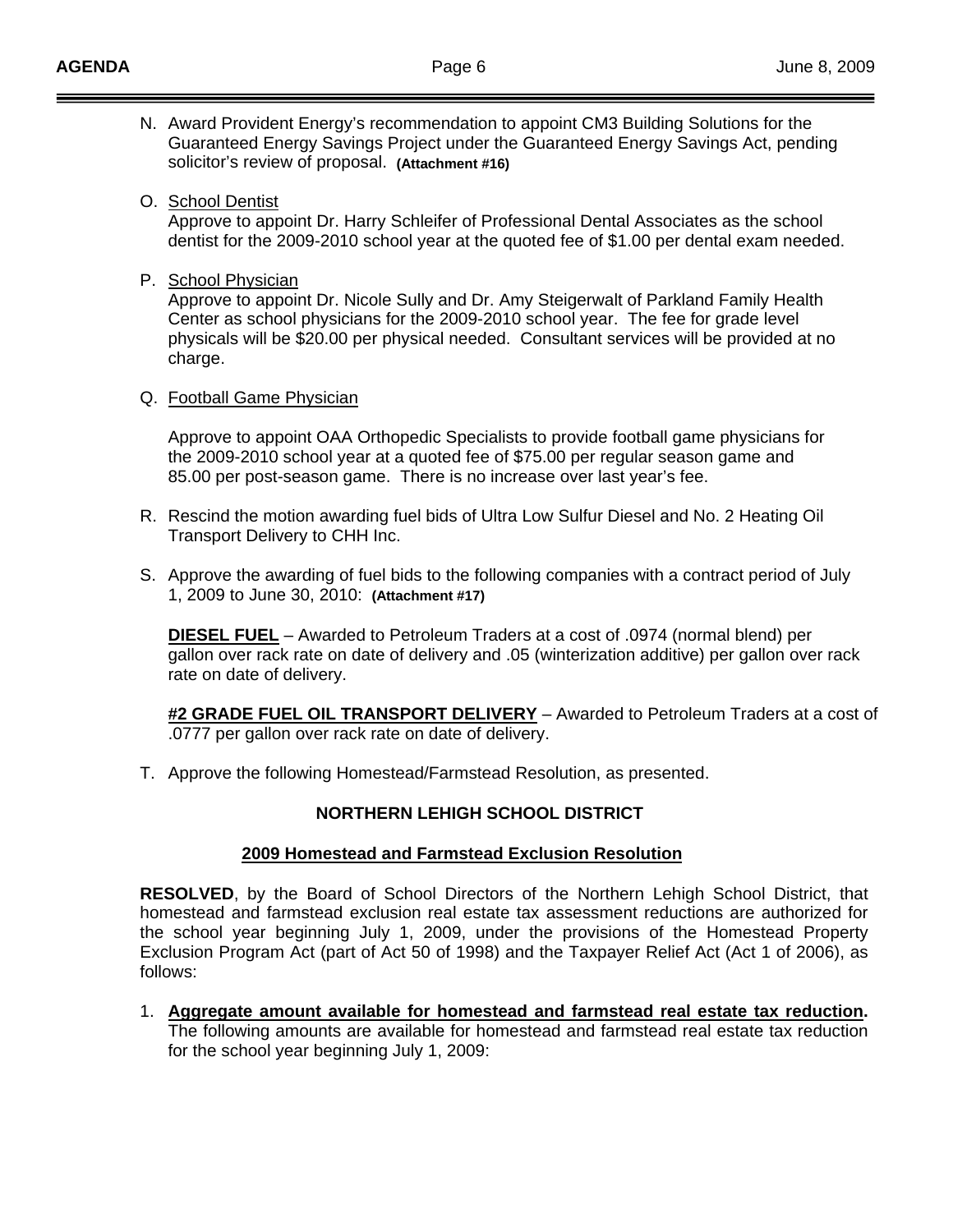- N. Award Provident Energy's recommendation to appoint CM3 Building Solutions for the Guaranteed Energy Savings Project under the Guaranteed Energy Savings Act, pending solicitor's review of proposal. **(Attachment #16)**
- O. School Dentist

 Approve to appoint Dr. Harry Schleifer of Professional Dental Associates as the school dentist for the 2009-2010 school year at the quoted fee of \$1.00 per dental exam needed.

P. School Physician

 Approve to appoint Dr. Nicole Sully and Dr. Amy Steigerwalt of Parkland Family Health Center as school physicians for the 2009-2010 school year. The fee for grade level physicals will be \$20.00 per physical needed. Consultant services will be provided at no charge.

Q. Football Game Physician

 Approve to appoint OAA Orthopedic Specialists to provide football game physicians for the 2009-2010 school year at a quoted fee of \$75.00 per regular season game and 85.00 per post-season game. There is no increase over last year's fee.

- R. Rescind the motion awarding fuel bids of Ultra Low Sulfur Diesel and No. 2 Heating Oil Transport Delivery to CHH Inc.
- S. Approve the awarding of fuel bids to the following companies with a contract period of July 1, 2009 to June 30, 2010: **(Attachment #17)**

**DIESEL FUEL** – Awarded to Petroleum Traders at a cost of .0974 (normal blend) per gallon over rack rate on date of delivery and .05 (winterization additive) per gallon over rack rate on date of delivery.

**#2 GRADE FUEL OIL TRANSPORT DELIVERY** – Awarded to Petroleum Traders at a cost of .0777 per gallon over rack rate on date of delivery.

T. Approve the following Homestead/Farmstead Resolution, as presented.

#### **NORTHERN LEHIGH SCHOOL DISTRICT**

#### **2009 Homestead and Farmstead Exclusion Resolution**

**RESOLVED**, by the Board of School Directors of the Northern Lehigh School District, that homestead and farmstead exclusion real estate tax assessment reductions are authorized for the school year beginning July 1, 2009, under the provisions of the Homestead Property Exclusion Program Act (part of Act 50 of 1998) and the Taxpayer Relief Act (Act 1 of 2006), as follows:

1. **Aggregate amount available for homestead and farmstead real estate tax reduction.** The following amounts are available for homestead and farmstead real estate tax reduction for the school year beginning July 1, 2009: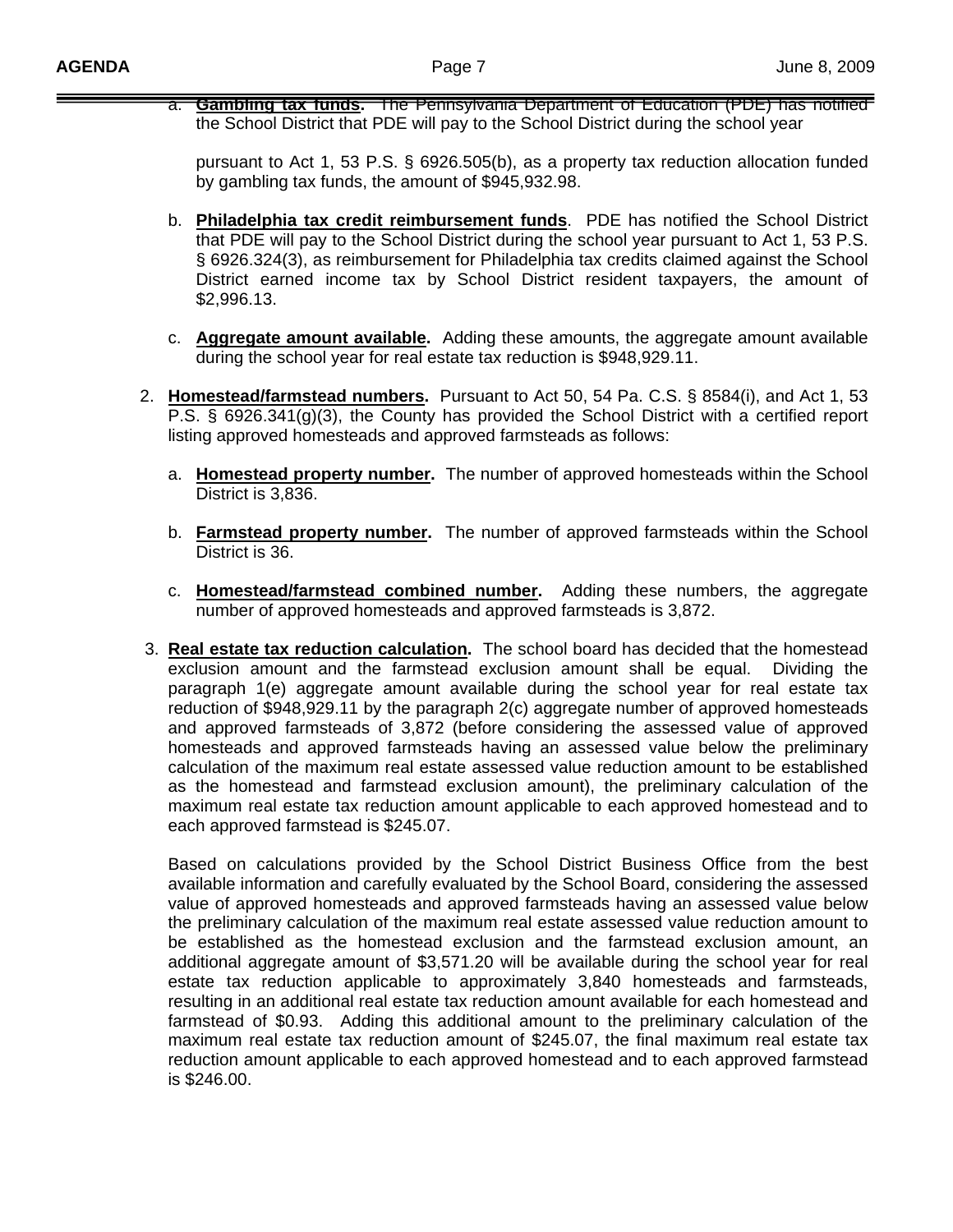a. **Gambling tax funds.** The Pennsylvania Department of Education (PDE) has notified the School District that PDE will pay to the School District during the school year

pursuant to Act 1, 53 P.S. § 6926.505(b), as a property tax reduction allocation funded by gambling tax funds, the amount of \$945,932.98.

- b. **Philadelphia tax credit reimbursement funds**. PDE has notified the School District that PDE will pay to the School District during the school year pursuant to Act 1, 53 P.S. § 6926.324(3), as reimbursement for Philadelphia tax credits claimed against the School District earned income tax by School District resident taxpayers, the amount of \$2,996.13.
- c. **Aggregate amount available.** Adding these amounts, the aggregate amount available during the school year for real estate tax reduction is \$948,929.11.
- 2. **Homestead/farmstead numbers.** Pursuant to Act 50, 54 Pa. C.S. § 8584(i), and Act 1, 53 P.S. § 6926.341(g)(3), the County has provided the School District with a certified report listing approved homesteads and approved farmsteads as follows:
	- a. **Homestead property number.** The number of approved homesteads within the School District is 3,836.
	- b. **Farmstead property number.** The number of approved farmsteads within the School District is 36.
	- c. **Homestead/farmstead combined number.** Adding these numbers, the aggregate number of approved homesteads and approved farmsteads is 3,872.
- 3. **Real estate tax reduction calculation.** The school board has decided that the homestead exclusion amount and the farmstead exclusion amount shall be equal. Dividing the paragraph 1(e) aggregate amount available during the school year for real estate tax reduction of \$948,929.11 by the paragraph 2(c) aggregate number of approved homesteads and approved farmsteads of 3,872 (before considering the assessed value of approved homesteads and approved farmsteads having an assessed value below the preliminary calculation of the maximum real estate assessed value reduction amount to be established as the homestead and farmstead exclusion amount), the preliminary calculation of the maximum real estate tax reduction amount applicable to each approved homestead and to each approved farmstead is \$245.07.

Based on calculations provided by the School District Business Office from the best available information and carefully evaluated by the School Board, considering the assessed value of approved homesteads and approved farmsteads having an assessed value below the preliminary calculation of the maximum real estate assessed value reduction amount to be established as the homestead exclusion and the farmstead exclusion amount, an additional aggregate amount of \$3,571.20 will be available during the school year for real estate tax reduction applicable to approximately 3,840 homesteads and farmsteads, resulting in an additional real estate tax reduction amount available for each homestead and farmstead of \$0.93. Adding this additional amount to the preliminary calculation of the maximum real estate tax reduction amount of \$245.07, the final maximum real estate tax reduction amount applicable to each approved homestead and to each approved farmstead is \$246.00.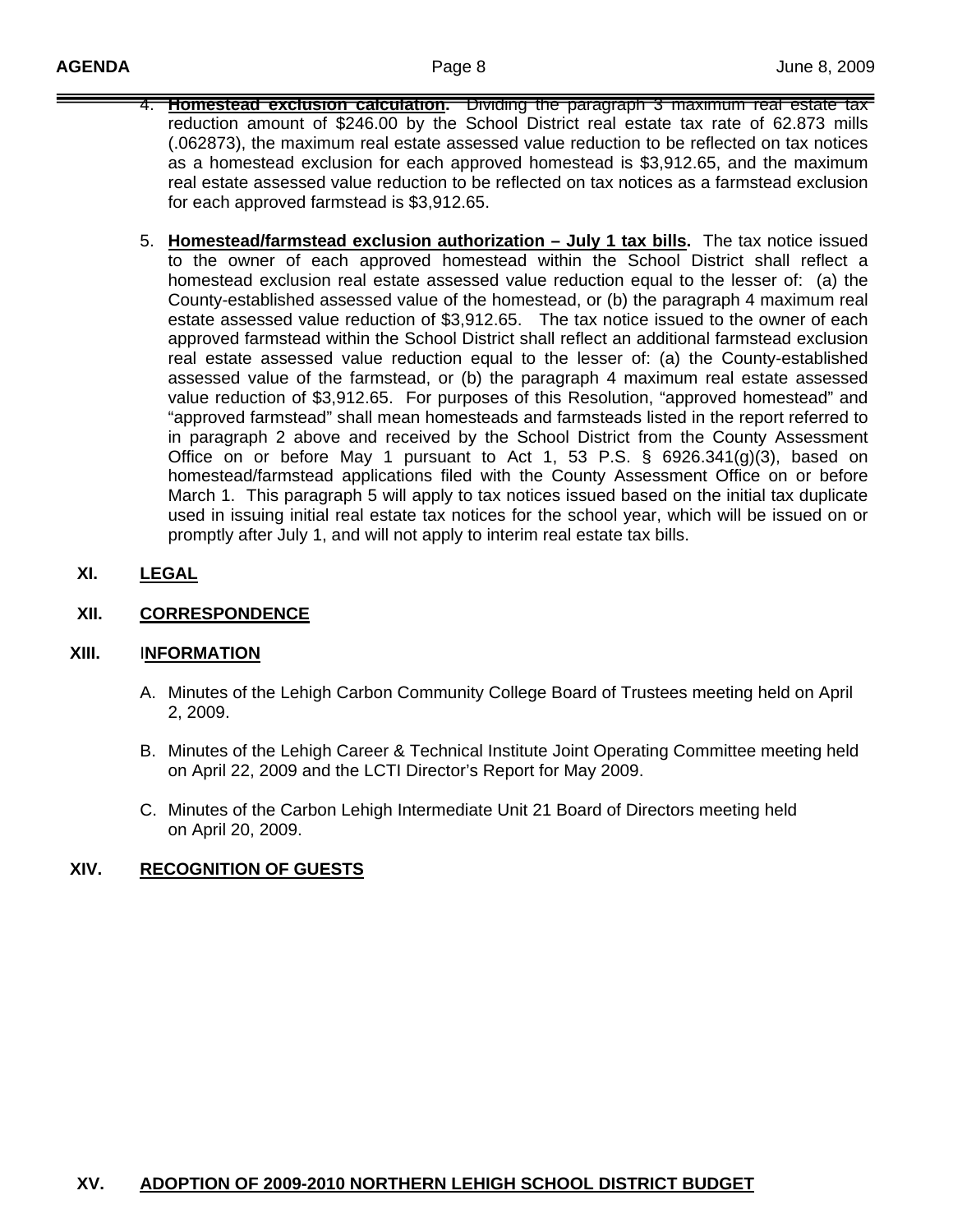- 4. **Homestead exclusion calculation.** Dividing the paragraph 3 maximum real estate tax reduction amount of \$246.00 by the School District real estate tax rate of 62.873 mills (.062873), the maximum real estate assessed value reduction to be reflected on tax notices as a homestead exclusion for each approved homestead is \$3,912.65, and the maximum real estate assessed value reduction to be reflected on tax notices as a farmstead exclusion for each approved farmstead is \$3,912.65.
- 5. **Homestead/farmstead exclusion authorization July 1 tax bills.** The tax notice issued to the owner of each approved homestead within the School District shall reflect a homestead exclusion real estate assessed value reduction equal to the lesser of: (a) the County-established assessed value of the homestead, or (b) the paragraph 4 maximum real estate assessed value reduction of \$3,912.65. The tax notice issued to the owner of each approved farmstead within the School District shall reflect an additional farmstead exclusion real estate assessed value reduction equal to the lesser of: (a) the County-established assessed value of the farmstead, or (b) the paragraph 4 maximum real estate assessed value reduction of \$3,912.65. For purposes of this Resolution, "approved homestead" and "approved farmstead" shall mean homesteads and farmsteads listed in the report referred to in paragraph 2 above and received by the School District from the County Assessment Office on or before May 1 pursuant to Act 1, 53 P.S.  $\S$  6926.341(g)(3), based on homestead/farmstead applications filed with the County Assessment Office on or before March 1. This paragraph 5 will apply to tax notices issued based on the initial tax duplicate used in issuing initial real estate tax notices for the school year, which will be issued on or promptly after July 1, and will not apply to interim real estate tax bills.
- **XI. LEGAL**

#### **XII. CORRESPONDENCE**

#### **XIII.** I**NFORMATION**

- A. Minutes of the Lehigh Carbon Community College Board of Trustees meeting held on April 2, 2009.
- B. Minutes of the Lehigh Career & Technical Institute Joint Operating Committee meeting held on April 22, 2009 and the LCTI Director's Report for May 2009.
- C. Minutes of the Carbon Lehigh Intermediate Unit 21 Board of Directors meeting held on April 20, 2009.

# **XIV. RECOGNITION OF GUESTS**